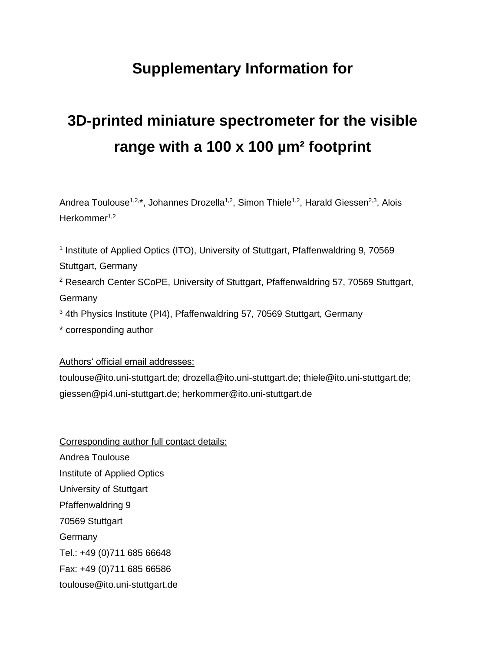## **Supplementary Information for**

# **3D-printed miniature spectrometer for the visible range with a 100 x 100 µm² footprint**

Andrea Toulouse<sup>1,2,\*</sup>, Johannes Drozella<sup>1,2</sup>, Simon Thiele<sup>1,2</sup>, Harald Giessen<sup>2,3</sup>, Alois Herkommer<sup>1,2</sup>

<sup>1</sup> Institute of Applied Optics (ITO), University of Stuttgart, Pfaffenwaldring 9, 70569 Stuttgart, Germany

<sup>2</sup> Research Center SCoPE, University of Stuttgart, Pfaffenwaldring 57, 70569 Stuttgart, Germany

<sup>3</sup> 4th Physics Institute (PI4), Pfaffenwaldring 57, 70569 Stuttgart, Germany

\* corresponding author

Authors' official email addresses:

toulouse@ito.uni-stuttgart.de; drozella@ito.uni-stuttgart.de; thiele@ito.uni-stuttgart.de; giessen@pi4.uni-stuttgart.de; herkommer@ito.uni-stuttgart.de

Corresponding author full contact details: Andrea Toulouse Institute of Applied Optics University of Stuttgart Pfaffenwaldring 9 70569 Stuttgart Germany Tel.: +49 (0)711 685 66648 Fax: +49 (0)711 685 66586 toulouse@ito.uni-stuttgart.de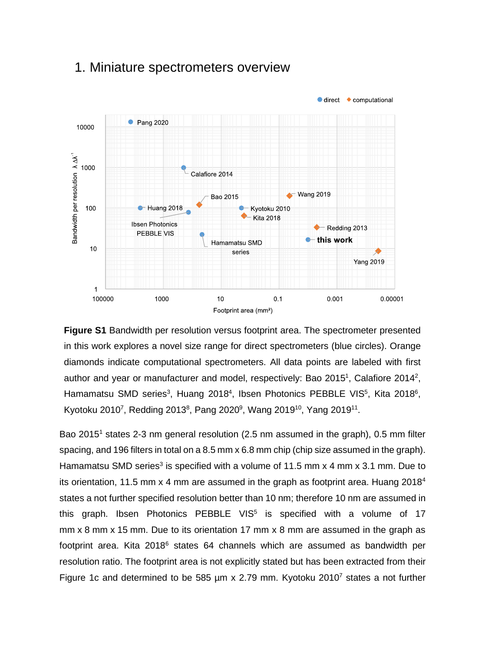#### $\bullet$  direct  $\bullet$  computational **•** Pang 2020 10000 Bandwidth per resolution A AA 1000 Calafiore 2014  $\leftarrow$  Wang 2019 **Bao 2015** 100 Huang 2018 Kyotoku 2010 **Kita 2018 Ibsen Photonics**  $\leftarrow$  Redding 2013 **PEBBLE VIS** this work Hamamatsu SMD  $10$ series **Yang 2019**  $\overline{1}$ 100000 1000  $10$  $0.1$  $0.001$ 0.00001 Footprint area (mm<sup>2</sup>)

#### 1. Miniature spectrometers overview

**Figure S1** Bandwidth per resolution versus footprint area. The spectrometer presented in this work explores a novel size range for direct spectrometers (blue circles). Orange diamonds indicate computational spectrometers. All data points are labeled with first author and year or manufacturer and model, respectively: Bao 2015<sup>1</sup>, Calafiore 2014<sup>2</sup>, Hamamatsu SMD series<sup>3</sup>, Huang 2018<sup>4</sup>, Ibsen Photonics PEBBLE VIS<sup>5</sup>, Kita 2018<sup>6</sup>, Kyotoku 2010<sup>7</sup>, Redding 2013<sup>8</sup>, Pang 2020<sup>9</sup>, Wang 2019<sup>10</sup>, Yang 2019<sup>11</sup>.

Bao 2015<sup>1</sup> states 2-3 nm general resolution (2.5 nm assumed in the graph), 0.5 mm filter spacing, and 196 filters in total on a 8.5 mm x 6.8 mm chip (chip size assumed in the graph). Hamamatsu SMD series<sup>3</sup> is specified with a volume of 11.5 mm x 4 mm x 3.1 mm. Due to its orientation, 11.5 mm  $\times$  4 mm are assumed in the graph as footprint area. Huang 2018<sup>4</sup> states a not further specified resolution better than 10 nm; therefore 10 nm are assumed in this graph. Ibsen Photonics PEBBLE VIS<sup>5</sup> is specified with a volume of 17 mm x 8 mm x 15 mm. Due to its orientation 17 mm x 8 mm are assumed in the graph as footprint area. Kita 2018<sup>6</sup> states 64 channels which are assumed as bandwidth per resolution ratio. The footprint area is not explicitly stated but has been extracted from their Figure 1c and determined to be 585  $\mu$ m x 2.79 mm. Kyotoku 2010<sup>7</sup> states a not further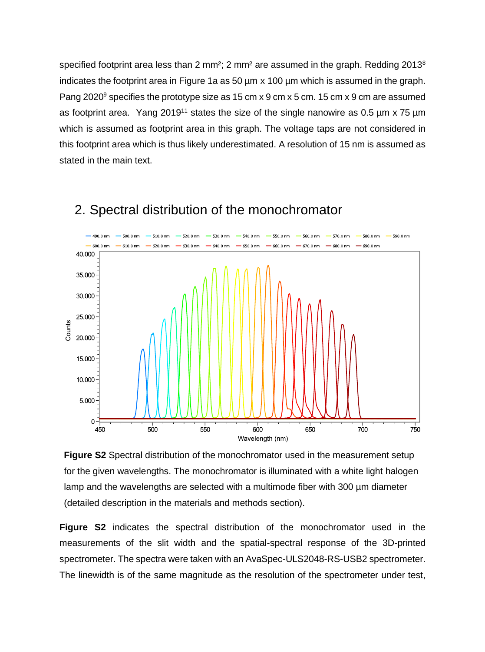specified footprint area less than 2 mm<sup>2</sup>; 2 mm<sup>2</sup> are assumed in the graph. Redding 2013<sup>8</sup> indicates the footprint area in Figure 1a as 50 µm x 100 µm which is assumed in the graph. Pang 2020<sup>9</sup> specifies the prototype size as 15 cm x 9 cm x 5 cm. 15 cm x 9 cm are assumed as footprint area. Yang 2019<sup>11</sup> states the size of the single nanowire as 0.5  $\mu$ m x 75  $\mu$ m which is assumed as footprint area in this graph. The voltage taps are not considered in this footprint area which is thus likely underestimated. A resolution of 15 nm is assumed as stated in the main text.



#### 2. Spectral distribution of the monochromator

**Figure S2** Spectral distribution of the monochromator used in the measurement setup for the given wavelengths. The monochromator is illuminated with a white light halogen lamp and the wavelengths are selected with a multimode fiber with 300 µm diameter (detailed description in the materials and methods section).

**Figure S2** indicates the spectral distribution of the monochromator used in the measurements of the slit width and the spatial-spectral response of the 3D-printed spectrometer. The spectra were taken with an AvaSpec-ULS2048-RS-USB2 spectrometer. The linewidth is of the same magnitude as the resolution of the spectrometer under test,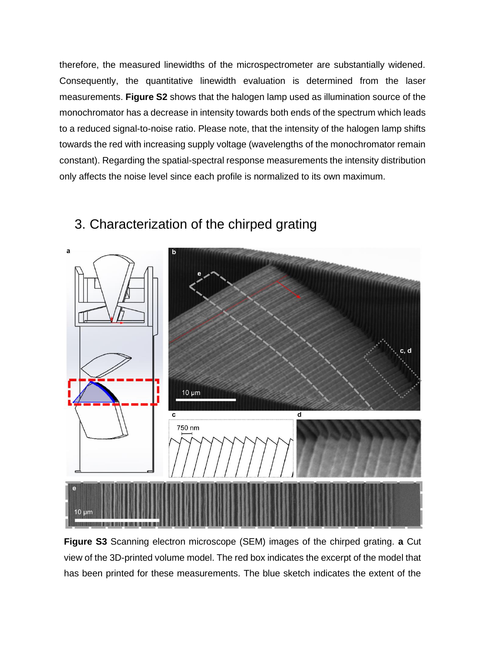therefore, the measured linewidths of the microspectrometer are substantially widened. Consequently, the quantitative linewidth evaluation is determined from the laser measurements. **Figure S2** shows that the halogen lamp used as illumination source of the monochromator has a decrease in intensity towards both ends of the spectrum which leads to a reduced signal-to-noise ratio. Please note, that the intensity of the halogen lamp shifts towards the red with increasing supply voltage (wavelengths of the monochromator remain constant). Regarding the spatial-spectral response measurements the intensity distribution only affects the noise level since each profile is normalized to its own maximum.



### 3. Characterization of the chirped grating

**Figure S3** Scanning electron microscope (SEM) images of the chirped grating. **a** Cut view of the 3D-printed volume model. The red box indicates the excerpt of the model that has been printed for these measurements. The blue sketch indicates the extent of the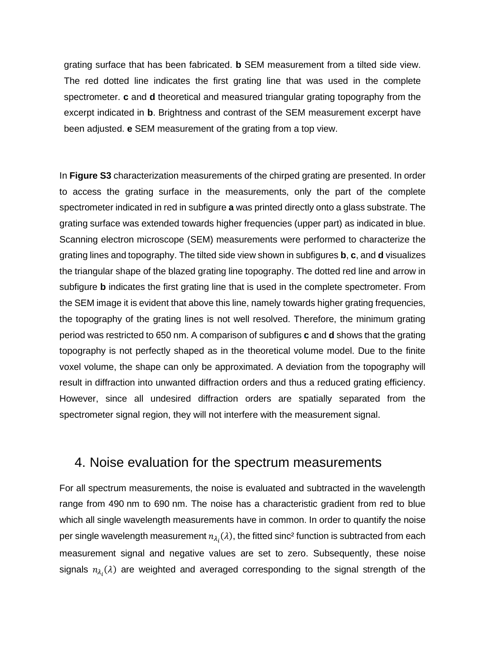grating surface that has been fabricated. **b** SEM measurement from a tilted side view. The red dotted line indicates the first grating line that was used in the complete spectrometer. **c** and **d** theoretical and measured triangular grating topography from the excerpt indicated in **b**. Brightness and contrast of the SEM measurement excerpt have been adjusted. **e** SEM measurement of the grating from a top view.

In **Figure S3** characterization measurements of the chirped grating are presented. In order to access the grating surface in the measurements, only the part of the complete spectrometer indicated in red in subfigure **a** was printed directly onto a glass substrate. The grating surface was extended towards higher frequencies (upper part) as indicated in blue. Scanning electron microscope (SEM) measurements were performed to characterize the grating lines and topography. The tilted side view shown in subfigures **b**, **c**, and **d** visualizes the triangular shape of the blazed grating line topography. The dotted red line and arrow in subfigure **b** indicates the first grating line that is used in the complete spectrometer. From the SEM image it is evident that above this line, namely towards higher grating frequencies, the topography of the grating lines is not well resolved. Therefore, the minimum grating period was restricted to 650 nm. A comparison of subfigures **c** and **d** shows that the grating topography is not perfectly shaped as in the theoretical volume model. Due to the finite voxel volume, the shape can only be approximated. A deviation from the topography will result in diffraction into unwanted diffraction orders and thus a reduced grating efficiency. However, since all undesired diffraction orders are spatially separated from the spectrometer signal region, they will not interfere with the measurement signal.

#### 4. Noise evaluation for the spectrum measurements

For all spectrum measurements, the noise is evaluated and subtracted in the wavelength range from 490 nm to 690 nm. The noise has a characteristic gradient from red to blue which all single wavelength measurements have in common. In order to quantify the noise per single wavelength measurement  $n_{\lambda_i}(\lambda)$ , the fitted sinc<sup>2</sup> function is subtracted from each measurement signal and negative values are set to zero. Subsequently, these noise signals  $n_{\lambda_i}(\lambda)$  are weighted and averaged corresponding to the signal strength of the